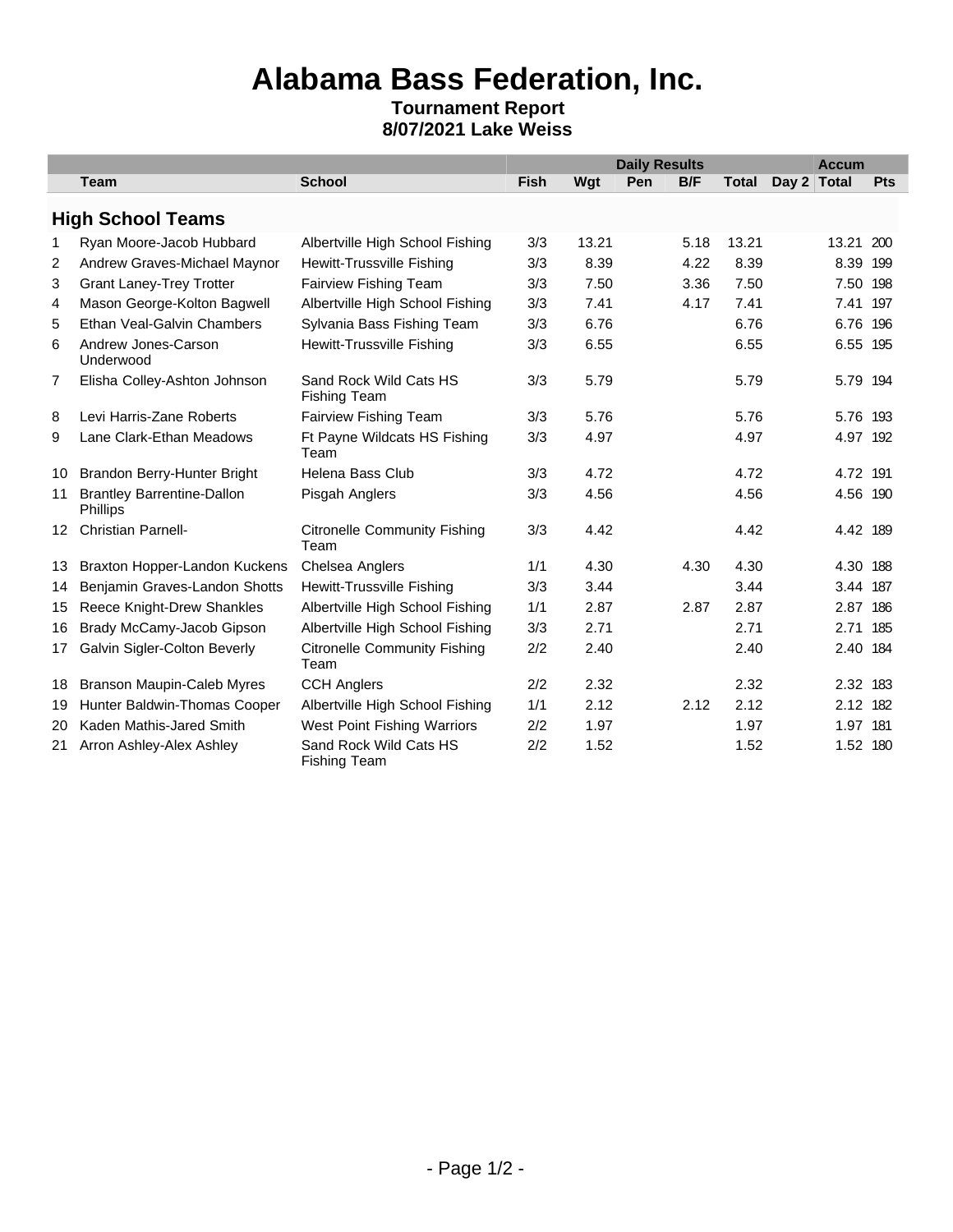## **Alabama Bass Federation, Inc.**

## **Tournament Report 8/07/2021 Lake Weiss**

|                  |                                                      |                                               |             | <b>Daily Results</b> |     |      |              |             | <b>Accum</b> |     |  |  |
|------------------|------------------------------------------------------|-----------------------------------------------|-------------|----------------------|-----|------|--------------|-------------|--------------|-----|--|--|
|                  | <b>Team</b>                                          | <b>School</b>                                 | <b>Fish</b> | Wgt                  | Pen | B/F  | <b>Total</b> | Day 2 Total |              | Pts |  |  |
|                  | <b>High School Teams</b>                             |                                               |             |                      |     |      |              |             |              |     |  |  |
| 1                | Ryan Moore-Jacob Hubbard                             | Albertville High School Fishing               | 3/3         | 13.21                |     | 5.18 | 13.21        |             | 13.21        | 200 |  |  |
| 2                | Andrew Graves-Michael Maynor                         | Hewitt-Trussville Fishing                     | 3/3         | 8.39                 |     | 4.22 | 8.39         |             | 8.39 199     |     |  |  |
| 3                | <b>Grant Laney-Trey Trotter</b>                      | Fairview Fishing Team                         | 3/3         | 7.50                 |     | 3.36 | 7.50         |             | 7.50 198     |     |  |  |
| 4                | Mason George-Kolton Bagwell                          | Albertville High School Fishing               | 3/3         | 7.41                 |     | 4.17 | 7.41         |             | 7.41 197     |     |  |  |
| 5                | Ethan Veal-Galvin Chambers                           | Sylvania Bass Fishing Team                    | 3/3         | 6.76                 |     |      | 6.76         |             | 6.76 196     |     |  |  |
| 6                | Andrew Jones-Carson<br>Underwood                     | Hewitt-Trussville Fishing                     | 3/3         | 6.55                 |     |      | 6.55         |             | 6.55 195     |     |  |  |
| 7                | Elisha Colley-Ashton Johnson                         | Sand Rock Wild Cats HS<br><b>Fishing Team</b> | 3/3         | 5.79                 |     |      | 5.79         |             | 5.79 194     |     |  |  |
| 8                | Levi Harris-Zane Roberts                             | <b>Fairview Fishing Team</b>                  | 3/3         | 5.76                 |     |      | 5.76         |             | 5.76 193     |     |  |  |
| 9                | Lane Clark-Ethan Meadows                             | Ft Payne Wildcats HS Fishing<br>Team          | 3/3         | 4.97                 |     |      | 4.97         |             | 4.97 192     |     |  |  |
| 10               | Brandon Berry-Hunter Bright                          | Helena Bass Club                              | 3/3         | 4.72                 |     |      | 4.72         |             | 4.72 191     |     |  |  |
| 11               | <b>Brantley Barrentine-Dallon</b><br><b>Phillips</b> | Pisgah Anglers                                | 3/3         | 4.56                 |     |      | 4.56         |             | 4.56 190     |     |  |  |
| 12 <sup>12</sup> | <b>Christian Parnell-</b>                            | <b>Citronelle Community Fishing</b><br>Team   | 3/3         | 4.42                 |     |      | 4.42         |             | 4.42 189     |     |  |  |
| 13               | Braxton Hopper-Landon Kuckens                        | Chelsea Anglers                               | 1/1         | 4.30                 |     | 4.30 | 4.30         |             | 4.30 188     |     |  |  |
| 14               | Benjamin Graves-Landon Shotts                        | Hewitt-Trussville Fishing                     | 3/3         | 3.44                 |     |      | 3.44         |             | 3.44 187     |     |  |  |
| 15               | Reece Knight-Drew Shankles                           | Albertville High School Fishing               | 1/1         | 2.87                 |     | 2.87 | 2.87         |             | 2.87 186     |     |  |  |
| 16               | Brady McCamy-Jacob Gipson                            | Albertville High School Fishing               | 3/3         | 2.71                 |     |      | 2.71         |             | 2.71 185     |     |  |  |
| 17               | Galvin Sigler-Colton Beverly                         | <b>Citronelle Community Fishing</b><br>Team   | 2/2         | 2.40                 |     |      | 2.40         |             | 2.40 184     |     |  |  |
| 18               | Branson Maupin-Caleb Myres                           | <b>CCH Anglers</b>                            | 2/2         | 2.32                 |     |      | 2.32         |             | 2.32 183     |     |  |  |
| 19               | Hunter Baldwin-Thomas Cooper                         | Albertville High School Fishing               | 1/1         | 2.12                 |     | 2.12 | 2.12         |             | 2.12 182     |     |  |  |
| 20               | Kaden Mathis-Jared Smith                             | West Point Fishing Warriors                   | 2/2         | 1.97                 |     |      | 1.97         |             | 1.97 181     |     |  |  |
| 21               | Arron Ashley-Alex Ashley                             | Sand Rock Wild Cats HS<br><b>Fishing Team</b> | 2/2         | 1.52                 |     |      | 1.52         |             | 1.52 180     |     |  |  |